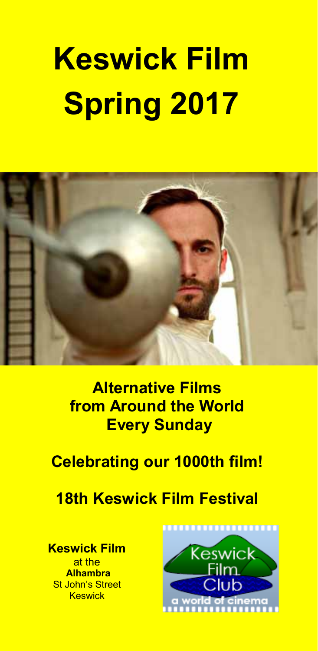# **Keswick Film Spring 2017**



**Alternative Films from Around the World Every Sunday** 

## **Celebrating our 1000th film!**

## **18th Keswick Film Festival**

**Keswick Film**  at the  **Alhambra**  St John's Street **Keswick** 

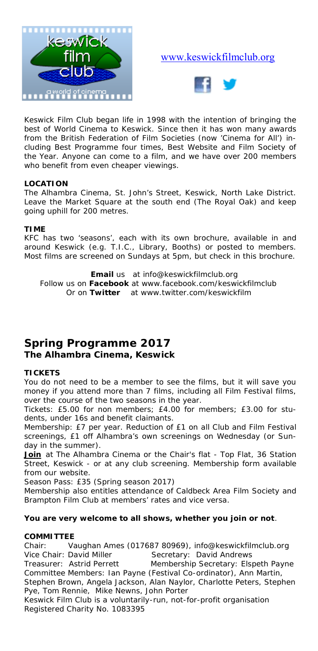

#### www.keswickfilmclub.org



Keswick Film Club began life in 1998 with the intention of bringing the best of World Cinema to Keswick. Since then it has won many awards from the British Federation of Film Societies (now 'Cinema for All') including Best Programme four times, Best Website and Film Society of the Year. Anyone can come to a film, and we have over 200 members who benefit from even cheaper viewings.

#### **LOCATION**

The Alhambra Cinema, St. John's Street, Keswick, North Lake District. Leave the Market Square at the south end (The Royal Oak) and keep going uphill for 200 metres.

#### **TIME**

KFC has two 'seasons', each with its own brochure, available in and around Keswick (e.g. T.I.C., Library, Booths) or posted to members. Most films are screened on Sundays at 5pm, but check in this brochure.

**Email** us at info@keswickfilmclub.org Follow us on **Facebook** at www.facebook.com/keswickfilmclub Or on **Twitter** at www.twitter.com/keswickfilm

#### **Spring Programme 2017 The Alhambra Cinema, Keswick**

#### **TICKETS**

You do not need to be a member to see the films, but it will save you money if you attend more than 7 films, including all Film Festival films, over the course of the two seasons in the year.

*Tickets:* £5.00 for non members; £4.00 for members; £3.00 for students, under 16s and benefit claimants.

*Membership:* £7 per year. Reduction of £1 on all Club and Film Festival screenings, £1 off Alhambra's own screenings on Wednesday (or Sunday in the summer).

Join at The Alhambra Cinema or the Chair's flat - Top Flat, 36 Station Street, Keswick - or at any club screening. Membership form available from our website.

*Season Pass:* £35 (Spring season 2017)

Membership also entitles attendance of Caldbeck Area Film Society and Brampton Film Club at members' rates and vice versa.

#### **You are very welcome to all shows, whether you join or not**.

#### **COMMITTEE**

Chair: Vaughan Ames (017687 80969), info@keswickfilmclub.org<br>Vice Chair: David Miller Secretary: David Andrews Secretary: David Andrews Treasurer: Astrid Perrett Membership Secretary: Elspeth Payne Committee Members: Ian Payne (Festival Co-ordinator), Ann Martin, Stephen Brown, Angela Jackson, Alan Naylor, Charlotte Peters, Stephen Pye, Tom Rennie, Mike Newns, John Porter *Keswick Film Club is a voluntarily-run, not-for-profit organisation Registered Charity No. 1083395*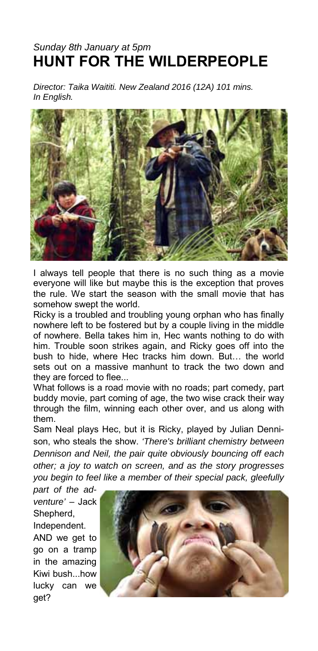#### *Sunday 8th January at 5pm*  **HUNT FOR THE WILDERPEOPLE**

*Director: Taika Waititi. New Zealand 2016 (12A) 101 mins. In English.* 



I always tell people that there is no such thing as a movie everyone will like but maybe this is the exception that proves the rule. We start the season with the small movie that has somehow swept the world.

Ricky is a troubled and troubling young orphan who has finally nowhere left to be fostered but by a couple living in the middle of nowhere. Bella takes him in, Hec wants nothing to do with him. Trouble soon strikes again, and Ricky goes off into the bush to hide, where Hec tracks him down. But… the world sets out on a massive manhunt to track the two down and they are forced to flee...

What follows is a road movie with no roads; part comedy, part buddy movie, part coming of age, the two wise crack their way through the film, winning each other over, and us along with them.

Sam Neal plays Hec, but it is Ricky, played by Julian Dennison, who steals the show. *'There's brilliant chemistry between Dennison and Neil, the pair quite obviously bouncing off each other; a joy to watch on screen, and as the story progresses you begin to feel like a member of their special pack, gleefully* 

*part of the adventure'* – Jack Shepherd, Independent.

AND we get to go on a tramp in the amazing Kiwi bush...how lucky can we get?

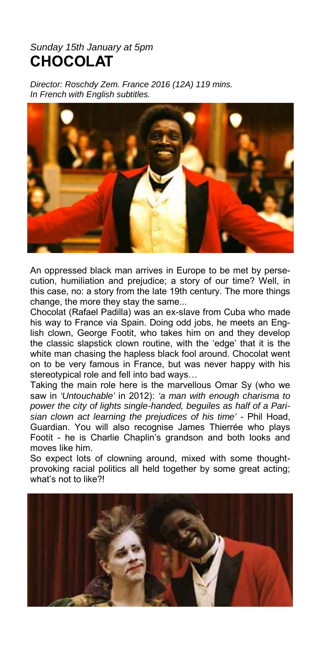#### *Sunday 15th January at 5pm*  **CHOCOLAT**

*Director: Roschdy Zem. France 2016 (12A) 119 mins. In French with English subtitles.* 



An oppressed black man arrives in Europe to be met by persecution, humiliation and prejudice; a story of our time? Well, in this case, no: a story from the late 19th century. The more things change, the more they stay the same...

Chocolat (Rafael Padilla) was an ex-slave from Cuba who made his way to France via Spain. Doing odd jobs, he meets an English clown, George Footit, who takes him on and they develop the classic slapstick clown routine, with the 'edge' that it is the white man chasing the hapless black fool around. Chocolat went on to be very famous in France, but was never happy with his stereotypical role and fell into bad ways…

Taking the main role here is the marvellous Omar Sy (who we saw in *'Untouchable'* in 2012): *'a man with enough charisma to power the city of lights single-handed, beguiles as half of a Parisian clown act learning the prejudices of his time'* - Phil Hoad, Guardian. You will also recognise James Thierrée who plays Footit - he is Charlie Chaplin's grandson and both looks and moves like him.

So expect lots of clowning around, mixed with some thoughtprovoking racial politics all held together by some great acting; what's not to like?!

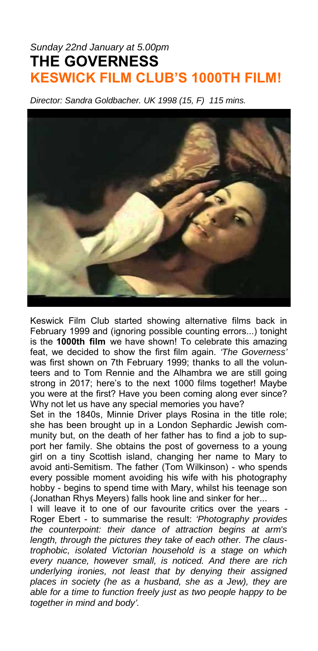## *Sunday 22nd January at 5.00pm*  **THE GOVERNESS KESWICK FILM CLUB'S 1000TH FILM!**

*Director: Sandra Goldbacher. UK 1998 (15, F) 115 mins.* 



Keswick Film Club started showing alternative films back in February 1999 and (ignoring possible counting errors...) tonight is the **1000th film** we have shown! To celebrate this amazing feat, we decided to show the first film again. *'The Governess'* was first shown on 7th February 1999; thanks to all the volunteers and to Tom Rennie and the Alhambra we are still going strong in 2017; here's to the next 1000 films together! Maybe you were at the first? Have you been coming along ever since? Why not let us have any special memories you have?

Set in the 1840s, Minnie Driver plays Rosina in the title role; she has been brought up in a London Sephardic Jewish community but, on the death of her father has to find a job to support her family. She obtains the post of governess to a young girl on a tiny Scottish island, changing her name to Mary to avoid anti-Semitism. The father (Tom Wilkinson) - who spends every possible moment avoiding his wife with his photography hobby - begins to spend time with Mary, whilst his teenage son (Jonathan Rhys Meyers) falls hook line and sinker for her...

I will leave it to one of our favourite critics over the years - Roger Ebert - to summarise the result: *'Photography provides the counterpoint: their dance of attraction begins at arm's length, through the pictures they take of each other. The claustrophobic, isolated Victorian household is a stage on which every nuance, however small, is noticed. And there are rich underlying ironies, not least that by denying their assigned places in society (he as a husband, she as a Jew), they are able for a time to function freely just as two people happy to be together in mind and body'.*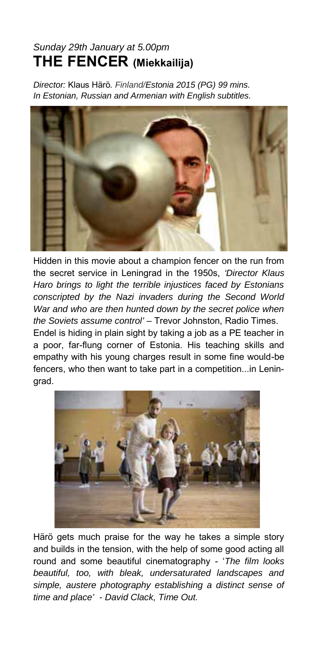## *Sunday 29th January at 5.00pm*  **THE FENCER (Miekkailija)**

*Director:* Klaus Härö*. Finland/Estonia 2015 (PG) 99 mins. In Estonian, Russian and Armenian with English subtitles.* 



Hidden in this movie about a champion fencer on the run from the secret service in Leningrad in the 1950s, *'Director Klaus Haro brings to light the terrible injustices faced by Estonians conscripted by the Nazi invaders during the Second World War and who are then hunted down by the secret police when the Soviets assume control'* – Trevor Johnston, Radio Times.

Endel is hiding in plain sight by taking a job as a PE teacher in a poor, far-flung corner of Estonia. His teaching skills and empathy with his young charges result in some fine would-be fencers, who then want to take part in a competition...in Leningrad.



Härö gets much praise for the way he takes a simple story and builds in the tension, with the help of some good acting all round and some beautiful cinematography - '*The film looks beautiful, too, with bleak, undersaturated landscapes and simple, austere photography establishing a distinct sense of time and place' - David Clack, Time Out.*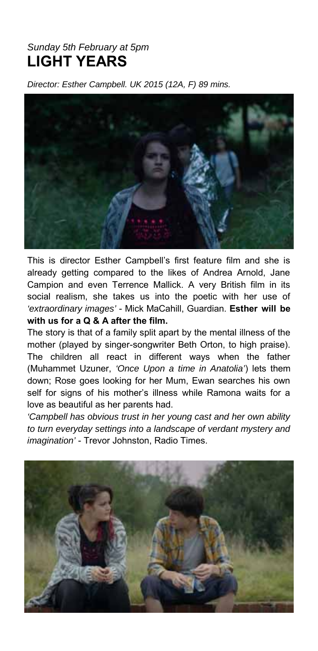#### *Sunday 5th February at 5pm*  **LIGHT YEARS**

*Director: Esther Campbell. UK 2015 (12A, F) 89 mins.* 



This is director Esther Campbell's first feature film and she is already getting compared to the likes of Andrea Arnold, Jane Campion and even Terrence Mallick. A very British film in its social realism, she takes us into the poetic with her use of *'extraordinary images'* - Mick MaCahill, Guardian. **Esther will be with us for a Q & A after the film.** 

The story is that of a family split apart by the mental illness of the mother (played by singer-songwriter Beth Orton, to high praise). The children all react in different ways when the father (Muhammet Uzuner, *'Once Upon a time in Anatolia'*) lets them down; Rose goes looking for her Mum, Ewan searches his own self for signs of his mother's illness while Ramona waits for a love as beautiful as her parents had.

*'Campbell has obvious trust in her young cast and her own ability to turn everyday settings into a landscape of verdant mystery and imagination'* - Trevor Johnston, Radio Times.

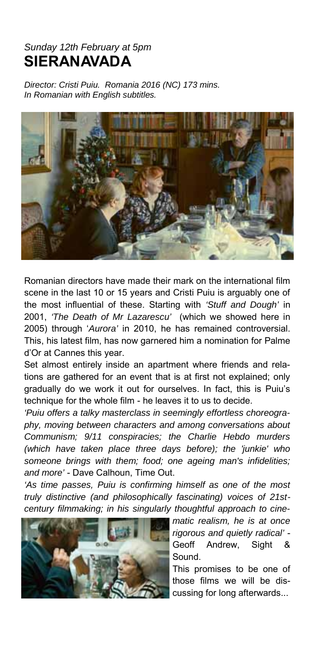#### *Sunday 12th February at 5pm*  **SIERANAVADA**

*Director: Cristi Puiu. Romania 2016 (NC) 173 mins. In Romanian with English subtitles.* 



Romanian directors have made their mark on the international film scene in the last 10 or 15 years and Cristi Puiu is arguably one of the most influential of these. Starting with *'Stuff and Dough'* in 2001, *'The Death of Mr Lazarescu'* (which we showed here in 2005) through '*Aurora'* in 2010, he has remained controversial. This, his latest film, has now garnered him a nomination for Palme d'Or at Cannes this year.

Set almost entirely inside an apartment where friends and relations are gathered for an event that is at first not explained; only gradually do we work it out for ourselves. In fact, this is Puiu's technique for the whole film - he leaves it to us to decide.

*'Puiu offers a talky masterclass in seemingly effortless choreography, moving between characters and among conversations about Communism; 9/11 conspiracies; the Charlie Hebdo murders (which have taken place three days before); the 'junkie' who someone brings with them; food; one ageing man's infidelities; and more'* - Dave Calhoun, Time Out.

*'As time passes, Puiu is confirming himself as one of the most truly distinctive (and philosophically fascinating) voices of 21stcentury filmmaking; in his singularly thoughtful approach to cine-*



*matic realism, he is at once rigorous and quietly radical'* - Geoff Andrew, Sight & Sound.

This promises to be one of those films we will be discussing for long afterwards...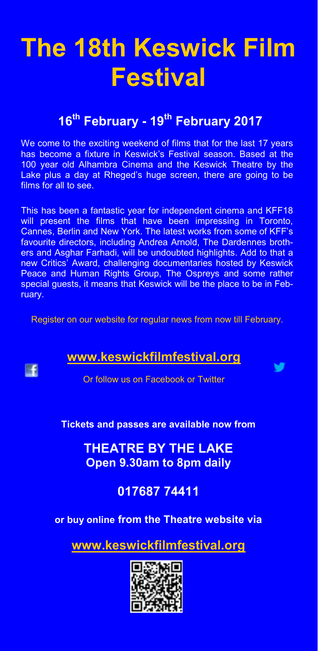## **The 18th Keswick Film Festival**

## **<sup>16</sup>th February - 19th February 2017**

We come to the exciting weekend of films that for the last 17 years has become a fixture in Keswick's Festival season. Based at the 100 year old Alhambra Cinema and the Keswick Theatre by the Lake plus a day at Rheged's huge screen, there are going to be films for all to see.

This has been a fantastic year for independent cinema and KFF18 will present the films that have been impressing in Toronto, Cannes, Berlin and New York. The latest works from some of KFF's favourite directors, including Andrea Arnold, The Dardennes brothers and Asghar Farhadi, will be undoubted highlights. Add to that a new Critics' Award, challenging documentaries hosted by Keswick Peace and Human Rights Group, The Ospreys and some rather special guests, it means that Keswick will be the place to be in February.

Register on our website for regular news from now till February.

#### **www.keswickfilmfestival.org**

**EF** 

v

Or follow us on Facebook or Twitter

#### **Tickets and passes are available now from**

**THEATRE BY THE LAKE Open 9.30am to 8pm daily** 

#### **017687 74411**

**or buy online from the Theatre website via**

**www.keswickfilmfestival.org**

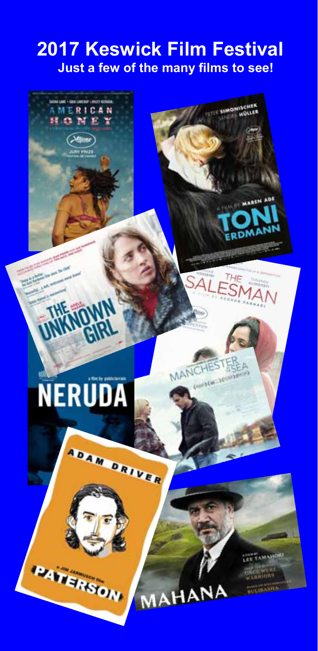## **2017 Keswick Film Festival Just a few of the many films to see!**

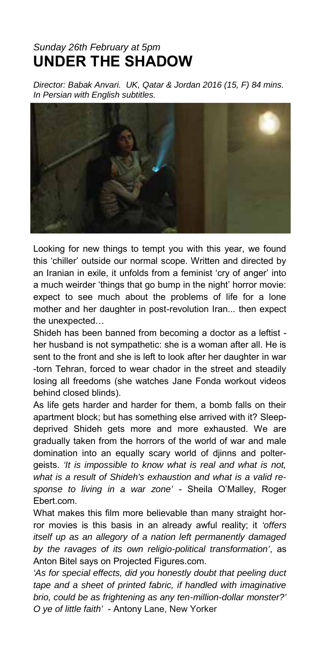## *Sunday 26th February at 5pm*  **UNDER THE SHADOW**

*Director: Babak Anvari. UK, Qatar & Jordan 2016 (15, F) 84 mins. In Persian with English subtitles.* 



Looking for new things to tempt you with this year, we found this 'chiller' outside our normal scope. Written and directed by an Iranian in exile, it unfolds from a feminist 'cry of anger' into a much weirder 'things that go bump in the night' horror movie: expect to see much about the problems of life for a lone mother and her daughter in post-revolution Iran... then expect the unexpected…

Shideh has been banned from becoming a doctor as a leftist her husband is not sympathetic: she is a woman after all. He is sent to the front and she is left to look after her daughter in war -torn Tehran, forced to wear chador in the street and steadily losing all freedoms (she watches Jane Fonda workout videos behind closed blinds).

As life gets harder and harder for them, a bomb falls on their apartment block; but has something else arrived with it? Sleepdeprived Shideh gets more and more exhausted. We are gradually taken from the horrors of the world of war and male domination into an equally scary world of djinns and poltergeists. *'It is impossible to know what is real and what is not, what is a result of Shideh's exhaustion and what is a valid response to living in a war zone'* - Sheila O'Malley, Roger Ebert.com.

What makes this film more believable than many straight horror movies is this basis in an already awful reality; it *'offers itself up as an allegory of a nation left permanently damaged by the ravages of its own religio-political transformation'*, as Anton Bitel says on Projected Figures.com.

*'As for special effects, did you honestly doubt that peeling duct tape and a sheet of printed fabric, if handled with imaginative brio, could be as frightening as any ten-million-dollar monster?' O ye of little faith'* - Antony Lane, New Yorker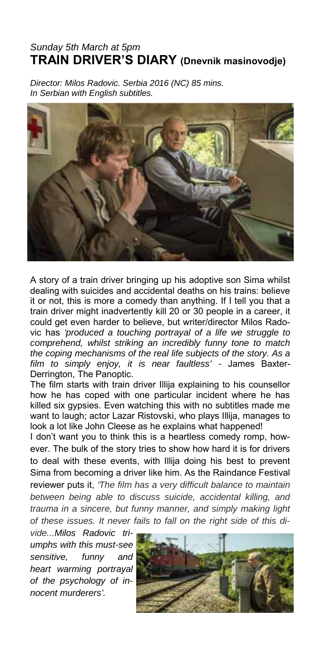#### *Sunday 5th March at 5pm*  **TRAIN DRIVER'S DIARY (Dnevnik masinovodje)**

*Director: Milos Radovic. Serbia 2016 (NC) 85 mins. In Serbian with English subtitles.* 



A story of a train driver bringing up his adoptive son Sima whilst dealing with suicides and accidental deaths on his trains: believe it or not, this is more a comedy than anything. If I tell you that a train driver might inadvertently kill 20 or 30 people in a career, it could get even harder to believe, but writer/director Milos Radovic has *'produced a touching portrayal of a life we struggle to comprehend, whilst striking an incredibly funny tone to match the coping mechanisms of the real life subjects of the story. As a film to simply enjoy, it is near faultless' -* James Baxter-Derrington, The Panoptic.

The film starts with train driver Illija explaining to his counsellor how he has coped with one particular incident where he has killed six gypsies. Even watching this with no subtitles made me want to laugh; actor Lazar Ristovski, who plays Illija, manages to look a lot like John Cleese as he explains what happened!

I don't want you to think this is a heartless comedy romp, however. The bulk of the story tries to show how hard it is for drivers to deal with these events, with Illija doing his best to prevent Sima from becoming a driver like him. As the Raindance Festival reviewer puts it, *'The film has a very difficult balance to maintain between being able to discuss suicide, accidental killing, and trauma in a sincere, but funny manner, and simply making light of these issues. It never fails to fall on the right side of this di-*

*vide...Milos Radovic triumphs with this must-see sensitive, funny and heart warming portrayal of the psychology of innocent murderers'.*

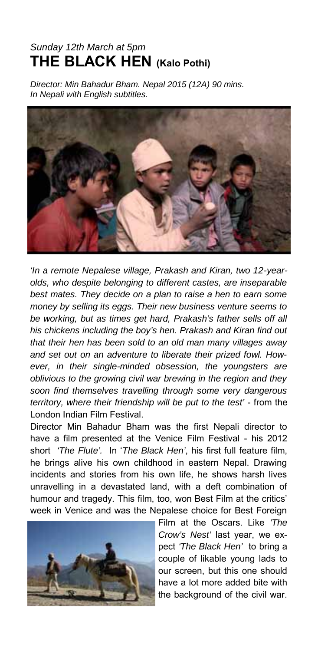## *Sunday 12th March at 5pm*  **THE BLACK HEN (Kalo Pothi)**

*Director: Min Bahadur Bham. Nepal 2015 (12A) 90 mins. In Nepali with English subtitles.* 



*'In a remote Nepalese village, Prakash and Kiran, two 12-yearolds, who despite belonging to different castes, are inseparable best mates. They decide on a plan to raise a hen to earn some money by selling its eggs. Their new business venture seems to be working, but as times get hard, Prakash's father sells off all his chickens including the boy's hen. Prakash and Kiran find out that their hen has been sold to an old man many villages away and set out on an adventure to liberate their prized fowl. However, in their single-minded obsession, the youngsters are oblivious to the growing civil war brewing in the region and they soon find themselves travelling through some very dangerous territory, where their friendship will be put to the test'* - from the London Indian Film Festival.

Director Min Bahadur Bham was the first Nepali director to have a film presented at the Venice Film Festival - his 2012 short *'The Flute'.* In '*The Black Hen'*, his first full feature film, he brings alive his own childhood in eastern Nepal. Drawing incidents and stories from his own life, he shows harsh lives unravelling in a devastated land, with a deft combination of humour and tragedy. This film, too, won Best Film at the critics' week in Venice and was the Nepalese choice for Best Foreign



Film at the Oscars. Like *'The Crow's Nest'* last year, we expect *'The Black Hen'* to bring a couple of likable young lads to our screen, but this one should have a lot more added bite with the background of the civil war.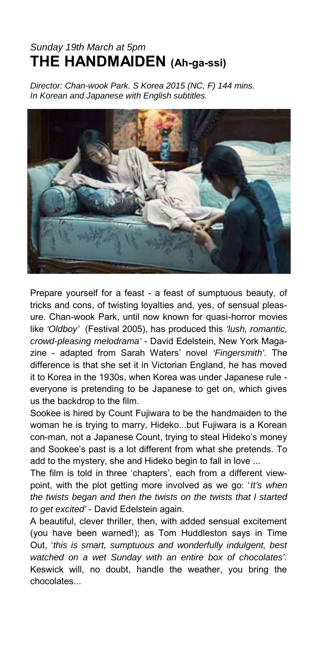## *Sunday 19th March at 5pm*  **THE HANDMAIDEN (Ah-ga-ssi)**

*Director: Chan-wook Park. S Korea 2015 (NC, F) 144 mins. In Korean and Japanese with English subtitles.* 



Prepare yourself for a feast - a feast of sumptuous beauty, of tricks and cons, of twisting loyalties and, yes, of sensual pleasure. Chan-wook Park, until now known for quasi-horror movies like *'Oldboy'* (Festival 2005), has produced this *'lush, romantic, crowd-pleasing melodrama'* - David Edelstein, New York Magazine - adapted from Sarah Waters' novel *'Fingersmith'*. The difference is that she set it in Victorian England, he has moved it to Korea in the 1930s, when Korea was under Japanese rule everyone is pretending to be Japanese to get on, which gives us the backdrop to the film.

Sookee is hired by Count Fujiwara to be the handmaiden to the woman he is trying to marry, Hideko...but Fujiwara is a Korean con-man, not a Japanese Count, trying to steal Hideko's money and Sookee's past is a lot different from what she pretends. To add to the mystery, she and Hideko begin to fall in love ...

The film is told in three 'chapters', each from a different viewpoint, with the plot getting more involved as we go: '*It's when the twists began and then the twists on the twists that I started to get excited'* - David Edelstein again.

A beautiful, clever thriller, then, with added sensual excitement (you have been warned!); as Tom Huddleston says in Time Out, '*this is smart, sumptuous and wonderfully indulgent, best watched on a wet Sunday with an entire box of chocolates'.*  Keswick will, no doubt, handle the weather, you bring the chocolates...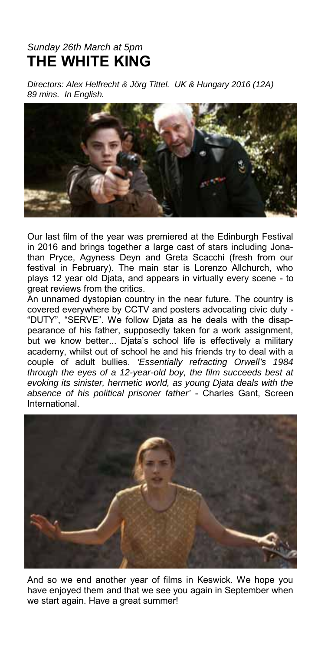## *Sunday 26th March at 5pm*  **THE WHITE KING**

*Directors: Alex Helfrecht & Jörg Tittel. UK & Hungary 2016 (12A) 89 mins. In English.* 



Our last film of the year was premiered at the Edinburgh Festival in 2016 and brings together a large cast of stars including Jonathan Pryce, Agyness Deyn and Greta Scacchi (fresh from our festival in February). The main star is Lorenzo Allchurch, who plays 12 year old Djata, and appears in virtually every scene - to great reviews from the critics.

An unnamed dystopian country in the near future. The country is covered everywhere by CCTV and posters advocating civic duty - "DUTY", "SERVE". We follow Djata as he deals with the disappearance of his father, supposedly taken for a work assignment, but we know better... Djata's school life is effectively a military academy, whilst out of school he and his friends try to deal with a couple of adult bullies. *'Essentially refracting Orwell's 1984 through the eyes of a 12-year-old boy, the film succeeds best at evoking its sinister, hermetic world, as young Djata deals with the absence of his political prisoner father'* - Charles Gant, Screen International.



And so we end another year of films in Keswick. We hope you have enjoyed them and that we see you again in September when we start again. Have a great summer!